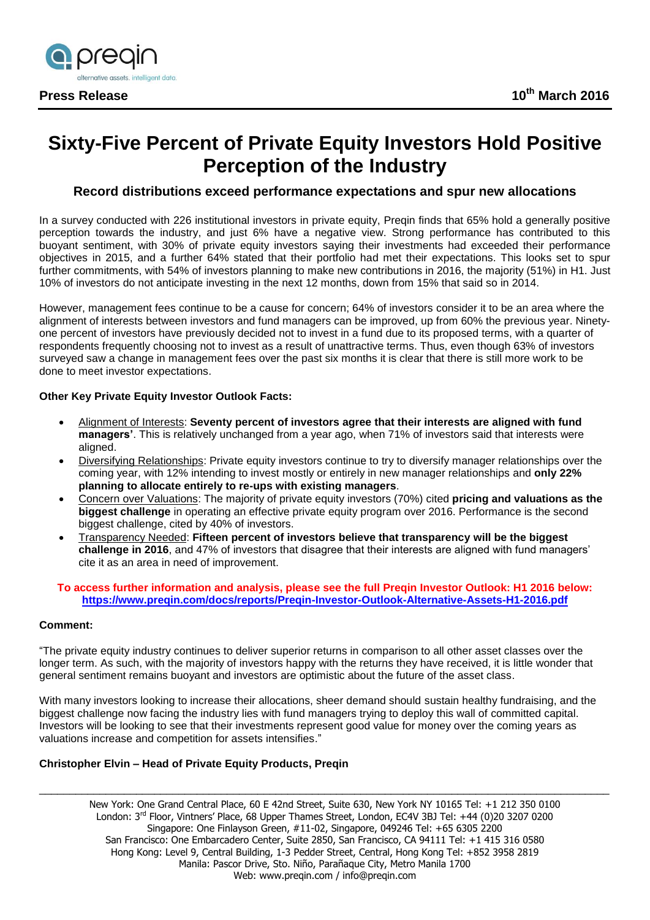

# **Sixty-Five Percent of Private Equity Investors Hold Positive Perception of the Industry**

# **Record distributions exceed performance expectations and spur new allocations**

In a survey conducted with 226 institutional investors in private equity, Preqin finds that 65% hold a generally positive perception towards the industry, and just 6% have a negative view. Strong performance has contributed to this buoyant sentiment, with 30% of private equity investors saying their investments had exceeded their performance objectives in 2015, and a further 64% stated that their portfolio had met their expectations. This looks set to spur further commitments, with 54% of investors planning to make new contributions in 2016, the majority (51%) in H1. Just 10% of investors do not anticipate investing in the next 12 months, down from 15% that said so in 2014.

However, management fees continue to be a cause for concern; 64% of investors consider it to be an area where the alignment of interests between investors and fund managers can be improved, up from 60% the previous year. Ninetyone percent of investors have previously decided not to invest in a fund due to its proposed terms, with a quarter of respondents frequently choosing not to invest as a result of unattractive terms. Thus, even though 63% of investors surveyed saw a change in management fees over the past six months it is clear that there is still more work to be done to meet investor expectations.

## **Other Key Private Equity Investor Outlook Facts:**

- Alignment of Interests: **Seventy percent of investors agree that their interests are aligned with fund managers'**. This is relatively unchanged from a year ago, when 71% of investors said that interests were aligned.
- Diversifying Relationships: Private equity investors continue to try to diversify manager relationships over the coming year, with 12% intending to invest mostly or entirely in new manager relationships and **only 22% planning to allocate entirely to re-ups with existing managers**.
- Concern over Valuations: The majority of private equity investors (70%) cited **pricing and valuations as the biggest challenge** in operating an effective private equity program over 2016. Performance is the second biggest challenge, cited by 40% of investors.
- Transparency Needed: **Fifteen percent of investors believe that transparency will be the biggest challenge in 2016**, and 47% of investors that disagree that their interests are aligned with fund managers' cite it as an area in need of improvement.

## **To access further information and analysis, please see the full Preqin Investor Outlook: H1 2016 below: <https://www.preqin.com/docs/reports/Preqin-Investor-Outlook-Alternative-Assets-H1-2016.pdf>**

## **Comment:**

"The private equity industry continues to deliver superior returns in comparison to all other asset classes over the longer term. As such, with the majority of investors happy with the returns they have received, it is little wonder that general sentiment remains buoyant and investors are optimistic about the future of the asset class.

With many investors looking to increase their allocations, sheer demand should sustain healthy fundraising, and the biggest challenge now facing the industry lies with fund managers trying to deploy this wall of committed capital. Investors will be looking to see that their investments represent good value for money over the coming years as valuations increase and competition for assets intensifies."

## **Christopher Elvin – Head of Private Equity Products, Preqin**

New York: One Grand Central Place, 60 E 42nd Street, Suite 630, New York NY 10165 Tel: +1 212 350 0100 London: 3<sup>rd</sup> Floor, Vintners' Place, 68 Upper Thames Street, London, EC4V 3BJ Tel: +44 (0)20 3207 0200 Singapore: One Finlayson Green, #11-02, Singapore, 049246 Tel: +65 6305 2200 San Francisco: One Embarcadero Center, Suite 2850, San Francisco, CA 94111 Tel: +1 415 316 0580 Hong Kong: Level 9, Central Building, 1-3 Pedder Street, Central, Hong Kong Tel: +852 3958 2819 Manila: Pascor Drive, Sto. Niño, Parañaque City, Metro Manila 1700 Web: [www.preqin.com](http://www.preqin.com/) / [info@preqin.com](mailto:info@preqin.com)

\_\_\_\_\_\_\_\_\_\_\_\_\_\_\_\_\_\_\_\_\_\_\_\_\_\_\_\_\_\_\_\_\_\_\_\_\_\_\_\_\_\_\_\_\_\_\_\_\_\_\_\_\_\_\_\_\_\_\_\_\_\_\_\_\_\_\_\_\_\_\_\_\_\_\_\_\_\_\_\_\_\_\_\_\_\_\_\_\_\_\_\_\_\_